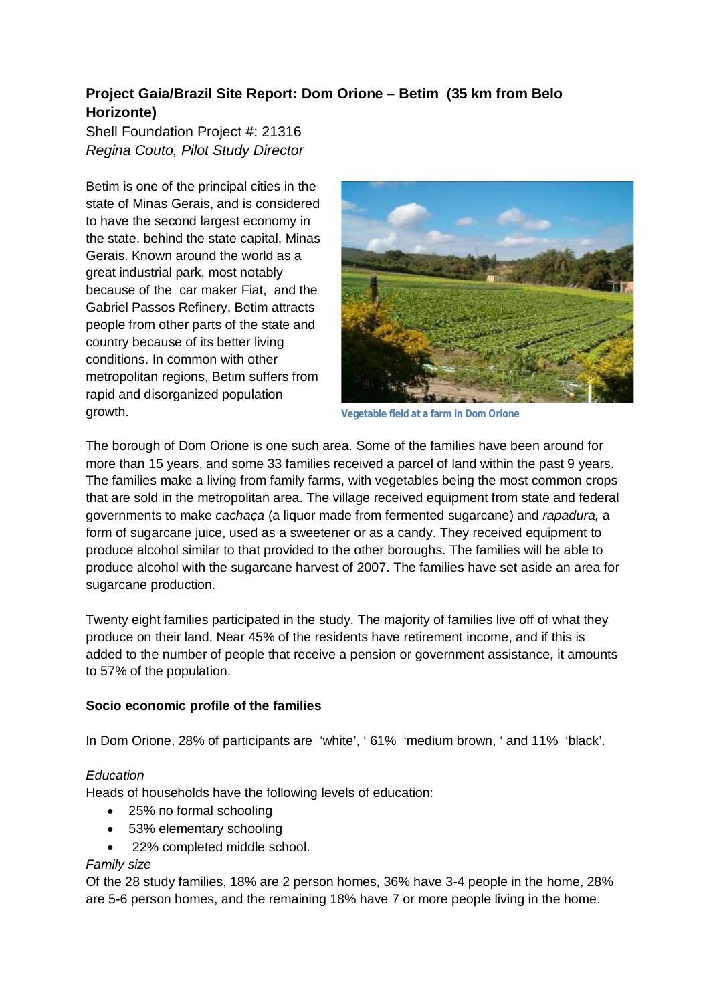## **Project Gaia/Brazil Site Report: Dom Orione – Betim (35 km from Belo Horizonte)**

Shell Foundation Project #: 21316 *Regina Couto, Pilot Study Director* 

Betim is one of the principal cities in the state of Minas Gerais, and is considered to have the second largest economy in the state, behind the state capital, Minas Gerais. Known around the world as a great industrial park, most notably because of the car maker Fiat, and the Gabriel Passos Refinery, Betim attracts people from other parts of the state and country because of its better living conditions. In common with other metropolitan regions, Betim suffers from rapid and disorganized population growth.



**Vegetable field at a farm in Dom Orione**

The borough of Dom Orione is one such area. Some of the families have been around for more than 15 years, and some 33 families received a parcel of land within the past 9 years. The families make a living from family farms, with vegetables being the most common crops that are sold in the metropolitan area. The village received equipment from state and federal governments to make *cachaça* (a liquor made from fermented sugarcane) and *rapadura,* a form of sugarcane juice, used as a sweetener or as a candy. They received equipment to produce alcohol similar to that provided to the other boroughs. The families will be able to produce alcohol with the sugarcane harvest of 2007. The families have set aside an area for sugarcane production.

Twenty eight families participated in the study. The majority of families live off of what they produce on their land. Near 45% of the residents have retirement income, and if this is added to the number of people that receive a pension or government assistance, it amounts to 57% of the population.

## **Socio economic profile of the families**

In Dom Orione, 28% of participants are 'white', ' 61% 'medium brown, ' and 11% 'black'.

#### *Education*

Heads of households have the following levels of education:

- 25% no formal schooling
- 53% elementary schooling
- 22% completed middle school.

#### *Family size*

Of the 28 study families, 18% are 2 person homes, 36% have 3-4 people in the home, 28% are 5-6 person homes, and the remaining 18% have 7 or more people living in the home.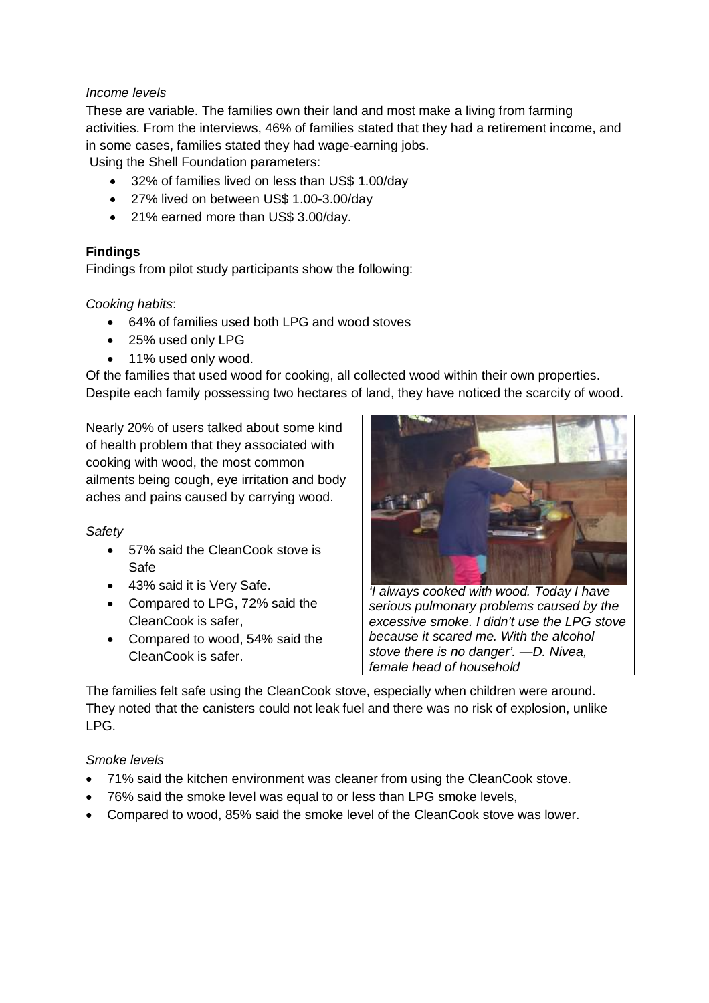### *Income levels*

These are variable. The families own their land and most make a living from farming activities. From the interviews, 46% of families stated that they had a retirement income, and in some cases, families stated they had wage-earning jobs.

Using the Shell Foundation parameters:

- 32% of families lived on less than US\$ 1.00/day
- 27% lived on between US\$ 1.00-3.00/day
- 21% earned more than US\$ 3.00/day.

#### **Findings**

Findings from pilot study participants show the following:

#### *Cooking habits*:

- 64% of families used both LPG and wood stoves
- 25% used only LPG
- 11% used only wood.

Of the families that used wood for cooking, all collected wood within their own properties. Despite each family possessing two hectares of land, they have noticed the scarcity of wood.

Nearly 20% of users talked about some kind of health problem that they associated with cooking with wood, the most common ailments being cough, eye irritation and body aches and pains caused by carrying wood.

## *Safety*

- 57% said the CleanCook stove is Safe
- 43% said it is Very Safe.
- Compared to LPG, 72% said the CleanCook is safer,
- Compared to wood, 54% said the CleanCook is safer.



*'I always cooked with wood. Today I have serious pulmonary problems caused by the excessive smoke. I didn't use the LPG stove because it scared me. With the alcohol stove there is no danger'. —D. Nivea, female head of household* 

The families felt safe using the CleanCook stove, especially when children were around. They noted that the canisters could not leak fuel and there was no risk of explosion, unlike LPG.

#### *Smoke levels*

- 71% said the kitchen environment was cleaner from using the CleanCook stove.
- 76% said the smoke level was equal to or less than LPG smoke levels,
- Compared to wood, 85% said the smoke level of the CleanCook stove was lower.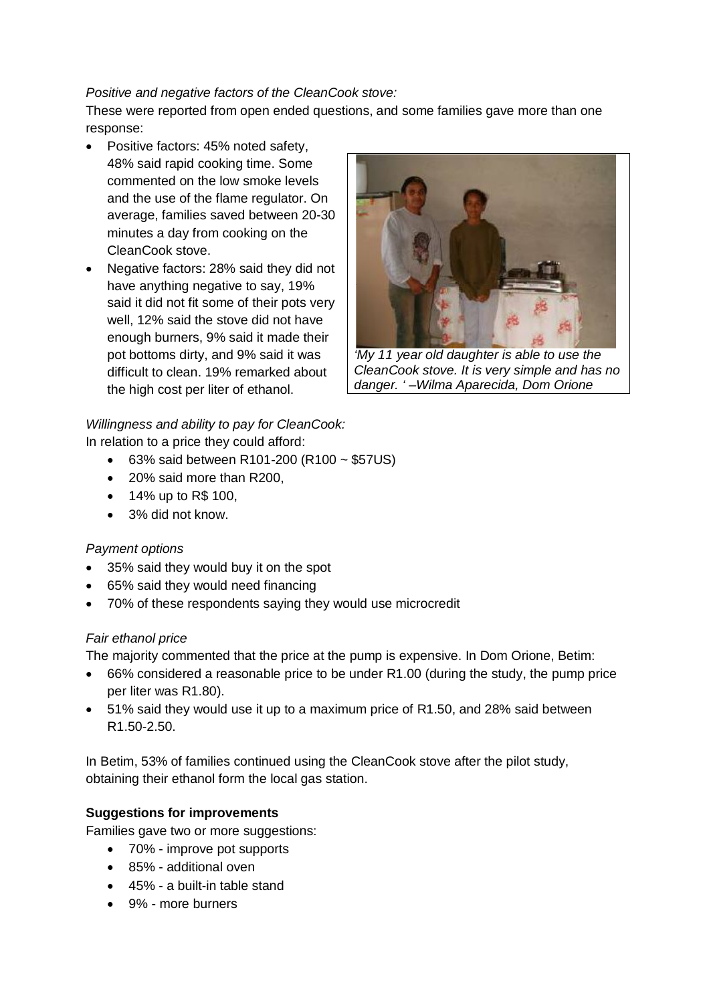## *Positive and negative factors of the CleanCook stove:*

These were reported from open ended questions, and some families gave more than one response:

- Positive factors: 45% noted safety, 48% said rapid cooking time. Some commented on the low smoke levels and the use of the flame regulator. On average, families saved between 20-30 minutes a day from cooking on the CleanCook stove.
- Negative factors: 28% said they did not have anything negative to say, 19% said it did not fit some of their pots very well, 12% said the stove did not have enough burners, 9% said it made their pot bottoms dirty, and 9% said it was difficult to clean. 19% remarked about the high cost per liter of ethanol.



*'My 11 year old daughter is able to use the CleanCook stove. It is very simple and has no danger. ' –Wilma Aparecida, Dom Orione* 

# *Willingness and ability to pay for CleanCook:*

In relation to a price they could afford:

- $-63\%$  said between R101-200 (R100  $\sim$  \$57US)
- 20% said more than R200.
- 14% up to R\$ 100,
- 3% did not know.

## *Payment options*

- 35% said they would buy it on the spot
- 65% said they would need financing
- 70% of these respondents saying they would use microcredit

## *Fair ethanol price*

The majority commented that the price at the pump is expensive. In Dom Orione, Betim:

- 66% considered a reasonable price to be under R1.00 (during the study, the pump price per liter was R1.80).
- 51% said they would use it up to a maximum price of R1.50, and 28% said between R1.50-2.50.

In Betim, 53% of families continued using the CleanCook stove after the pilot study, obtaining their ethanol form the local gas station.

## **Suggestions for improvements**

Families gave two or more suggestions:

- 70% improve pot supports
- 85% additional oven
- 45% a built-in table stand
- 9% more burners